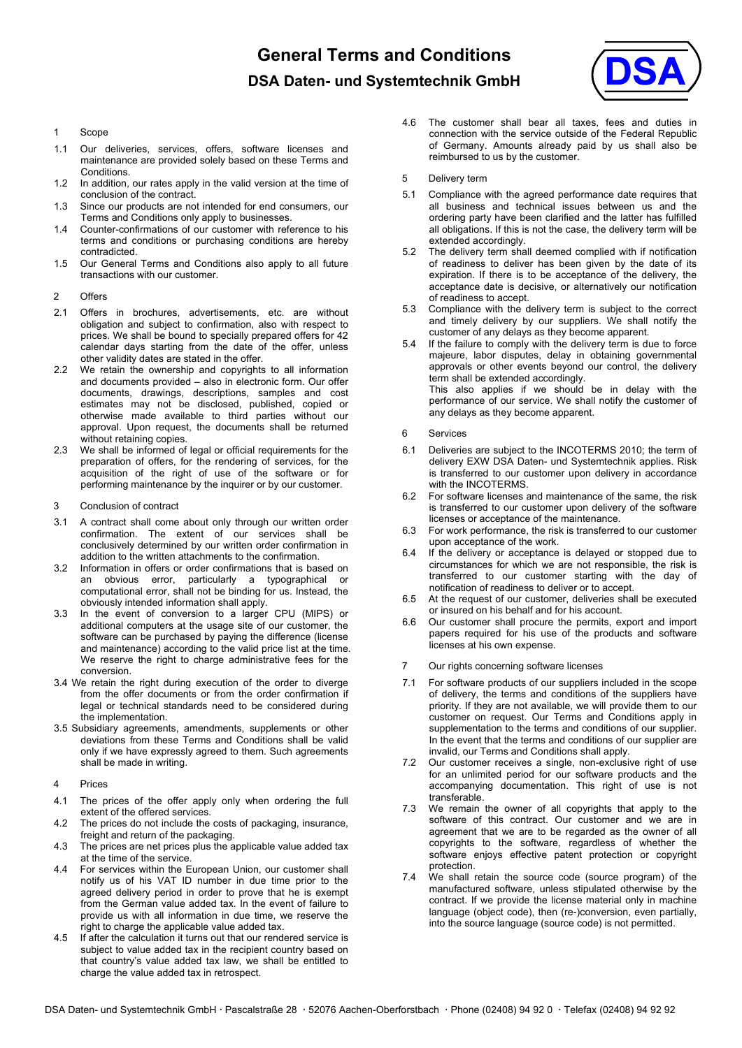**General Terms and Conditions DSA Daten- und Systemtechnik GmbH** 



## 1 Scope

- 1.1 Our deliveries, services, offers, software licenses and maintenance are provided solely based on these Terms and Conditions.
- 1.2 In addition, our rates apply in the valid version at the time of conclusion of the contract.
- 1.3 Since our products are not intended for end consumers, our Terms and Conditions only apply to businesses.
- 1.4 Counter-confirmations of our customer with reference to his terms and conditions or purchasing conditions are hereby contradicted.
- 1.5 Our General Terms and Conditions also apply to all future transactions with our customer.
- 2 Offers
- 2.1 Offers in brochures, advertisements, etc. are without obligation and subject to confirmation, also with respect to prices. We shall be bound to specially prepared offers for 42 calendar days starting from the date of the offer, unless other validity dates are stated in the offer.
- 2.2 We retain the ownership and copyrights to all information and documents provided – also in electronic form. Our offer documents, drawings, descriptions, samples and cost estimates may not be disclosed, published, copied or otherwise made available to third parties without our approval. Upon request, the documents shall be returned without retaining copies.
- 2.3 We shall be informed of legal or official requirements for the preparation of offers, for the rendering of services, for the acquisition of the right of use of the software or for performing maintenance by the inquirer or by our customer.
- 3 Conclusion of contract
- 3.1 A contract shall come about only through our written order confirmation. The extent of our services shall be conclusively determined by our written order confirmation in addition to the written attachments to the confirmation.
- 3.2 Information in offers or order confirmations that is based on an obvious error, particularly a typographical or computational error, shall not be binding for us. Instead, the obviously intended information shall apply.
- 3.3 In the event of conversion to a larger CPU (MIPS) or additional computers at the usage site of our customer, the software can be purchased by paying the difference (license and maintenance) according to the valid price list at the time. We reserve the right to charge administrative fees for the conversion.
- 3.4 We retain the right during execution of the order to diverge from the offer documents or from the order confirmation if legal or technical standards need to be considered during the implementation.
- 3.5 Subsidiary agreements, amendments, supplements or other deviations from these Terms and Conditions shall be valid only if we have expressly agreed to them. Such agreements shall be made in writing.
- 4 Prices
- 4.1 The prices of the offer apply only when ordering the full extent of the offered services.
- 4.2 The prices do not include the costs of packaging, insurance, freight and return of the packaging.
- 4.3 The prices are net prices plus the applicable value added tax at the time of the service.
- 4.4 For services within the European Union, our customer shall notify us of his VAT ID number in due time prior to the agreed delivery period in order to prove that he is exempt from the German value added tax. In the event of failure to provide us with all information in due time, we reserve the right to charge the applicable value added tax.
- 4.5 If after the calculation it turns out that our rendered service is subject to value added tax in the recipient country based on that country's value added tax law, we shall be entitled to charge the value added tax in retrospect.
- 4.6 The customer shall bear all taxes, fees and duties in connection with the service outside of the Federal Republic of Germany. Amounts already paid by us shall also be reimbursed to us by the customer.
- 5 Delivery term
- 5.1 Compliance with the agreed performance date requires that all business and technical issues between us and the ordering party have been clarified and the latter has fulfilled all obligations. If this is not the case, the delivery term will be extended accordingly.
- 5.2 The delivery term shall deemed complied with if notification of readiness to deliver has been given by the date of its expiration. If there is to be acceptance of the delivery, the acceptance date is decisive, or alternatively our notification of readiness to accept.
- 5.3 Compliance with the delivery term is subject to the correct and timely delivery by our suppliers. We shall notify the customer of any delays as they become apparent.
- 5.4 If the failure to comply with the delivery term is due to force majeure, labor disputes, delay in obtaining governmental approvals or other events beyond our control, the delivery term shall be extended accordingly. This also applies if we should be in delay with the performance of our service. We shall notify the customer of any delays as they become apparent.
- 6 Services
- 6.1 Deliveries are subject to the INCOTERMS 2010; the term of delivery EXW DSA Daten- und Systemtechnik applies. Risk is transferred to our customer upon delivery in accordance with the INCOTERMS.
- 6.2 For software licenses and maintenance of the same, the risk is transferred to our customer upon delivery of the software licenses or acceptance of the maintenance.
- 6.3 For work performance, the risk is transferred to our customer upon acceptance of the work.
- 6.4 If the delivery or acceptance is delayed or stopped due to circumstances for which we are not responsible, the risk is transferred to our customer starting with the day of notification of readiness to deliver or to accept.
- 6.5 At the request of our customer, deliveries shall be executed or insured on his behalf and for his account.
- 6.6 Our customer shall procure the permits, export and import papers required for his use of the products and software licenses at his own expense.
- 7 Our rights concerning software licenses
- 7.1 For software products of our suppliers included in the scope of delivery, the terms and conditions of the suppliers have priority. If they are not available, we will provide them to our customer on request. Our Terms and Conditions apply in supplementation to the terms and conditions of our supplier. In the event that the terms and conditions of our supplier are invalid, our Terms and Conditions shall apply.
- 7.2 Our customer receives a single, non-exclusive right of use for an unlimited period for our software products and the accompanying documentation. This right of use is not transferable.
- 7.3 We remain the owner of all copyrights that apply to the software of this contract. Our customer and we are in agreement that we are to be regarded as the owner of all copyrights to the software, regardless of whether the software enjoys effective patent protection or copyright protection.
- 7.4 We shall retain the source code (source program) of the manufactured software, unless stipulated otherwise by the contract. If we provide the license material only in machine language (object code), then (re-)conversion, even partially, into the source language (source code) is not permitted.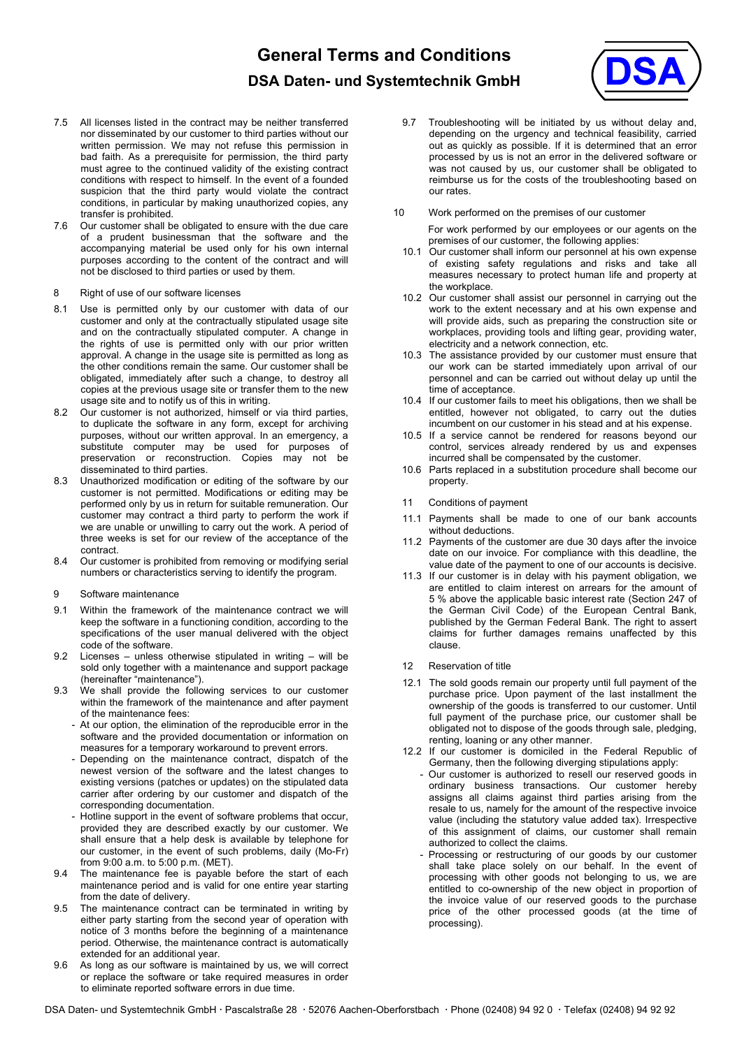## **General Terms and Conditions DSA Daten- und Systemtechnik GmbH**



- 7.5 All licenses listed in the contract may be neither transferred nor disseminated by our customer to third parties without our written permission. We may not refuse this permission in bad faith. As a prerequisite for permission, the third party must agree to the continued validity of the existing contract conditions with respect to himself. In the event of a founded suspicion that the third party would violate the contract conditions, in particular by making unauthorized copies, any transfer is prohibited.
- 7.6 Our customer shall be obligated to ensure with the due care of a prudent businessman that the software and the accompanying material be used only for his own internal purposes according to the content of the contract and will not be disclosed to third parties or used by them.
- 8 Right of use of our software licenses
- 8.1 Use is permitted only by our customer with data of our customer and only at the contractually stipulated usage site and on the contractually stipulated computer. A change in the rights of use is permitted only with our prior written approval. A change in the usage site is permitted as long as the other conditions remain the same. Our customer shall be obligated, immediately after such a change, to destroy all copies at the previous usage site or transfer them to the new usage site and to notify us of this in writing.
- 8.2 Our customer is not authorized, himself or via third parties, to duplicate the software in any form, except for archiving purposes, without our written approval. In an emergency, a substitute computer may be used for purposes of preservation or reconstruction. Copies may not be disseminated to third parties.
- 8.3 Unauthorized modification or editing of the software by our customer is not permitted. Modifications or editing may be performed only by us in return for suitable remuneration. Our customer may contract a third party to perform the work if we are unable or unwilling to carry out the work. A period of three weeks is set for our review of the acceptance of the contract.
- 8.4 Our customer is prohibited from removing or modifying serial numbers or characteristics serving to identify the program.
- 9 Software maintenance
- 9.1 Within the framework of the maintenance contract we will keep the software in a functioning condition, according to the specifications of the user manual delivered with the object code of the software.
- 9.2 Licenses unless otherwise stipulated in writing will be sold only together with a maintenance and support package (hereinafter "maintenance").
- 9.3 We shall provide the following services to our customer within the framework of the maintenance and after payment of the maintenance fees:
	- At our option, the elimination of the reproducible error in the software and the provided documentation or information on measures for a temporary workaround to prevent errors.
	- Depending on the maintenance contract, dispatch of the newest version of the software and the latest changes to existing versions (patches or updates) on the stipulated data carrier after ordering by our customer and dispatch of the corresponding documentation.
	- Hotline support in the event of software problems that occur, provided they are described exactly by our customer. We shall ensure that a help desk is available by telephone for our customer, in the event of such problems, daily (Mo-Fr) from 9:00 a.m. to 5:00 p.m. (MET).
- 9.4 The maintenance fee is payable before the start of each maintenance period and is valid for one entire year starting from the date of delivery.
- 9.5 The maintenance contract can be terminated in writing by either party starting from the second year of operation with notice of 3 months before the beginning of a maintenance period. Otherwise, the maintenance contract is automatically extended for an additional year.
- 9.6 As long as our software is maintained by us, we will correct or replace the software or take required measures in order to eliminate reported software errors in due time.
- Troubleshooting will be initiated by us without delay and, depending on the urgency and technical feasibility, carried out as quickly as possible. If it is determined that an error processed by us is not an error in the delivered software or was not caused by us, our customer shall be obligated to reimburse us for the costs of the troubleshooting based on our rates.
- 10 Work performed on the premises of our customer

For work performed by our employees or our agents on the premises of our customer, the following applies:

- 10.1 Our customer shall inform our personnel at his own expense of existing safety regulations and risks and take all measures necessary to protect human life and property at the workplace.
- 10.2 Our customer shall assist our personnel in carrying out the work to the extent necessary and at his own expense and will provide aids, such as preparing the construction site or workplaces, providing tools and lifting gear, providing water, electricity and a network connection, etc.
- 10.3 The assistance provided by our customer must ensure that our work can be started immediately upon arrival of our personnel and can be carried out without delay up until the time of acceptance.
- 10.4 If our customer fails to meet his obligations, then we shall be entitled, however not obligated, to carry out the duties incumbent on our customer in his stead and at his expense.
- 10.5 If a service cannot be rendered for reasons beyond our control, services already rendered by us and expenses incurred shall be compensated by the customer.
- 10.6 Parts replaced in a substitution procedure shall become our property.
- 11 Conditions of payment
- 11.1 Payments shall be made to one of our bank accounts without deductions.
- 11.2 Payments of the customer are due 30 days after the invoice date on our invoice. For compliance with this deadline, the value date of the payment to one of our accounts is decisive.
- 11.3 If our customer is in delay with his payment obligation, we are entitled to claim interest on arrears for the amount of 5 % above the applicable basic interest rate (Section 247 of the German Civil Code) of the European Central Bank, published by the German Federal Bank. The right to assert claims for further damages remains unaffected by this clause.
- 12 Reservation of title
- 12.1 The sold goods remain our property until full payment of the purchase price. Upon payment of the last installment the ownership of the goods is transferred to our customer. Until full payment of the purchase price, our customer shall be obligated not to dispose of the goods through sale, pledging, renting, loaning or any other manner.
- 12.2 If our customer is domiciled in the Federal Republic of Germany, then the following diverging stipulations apply:
	- Our customer is authorized to resell our reserved goods in ordinary business transactions. Our customer hereby assigns all claims against third parties arising from the resale to us, namely for the amount of the respective invoice value (including the statutory value added tax). Irrespective of this assignment of claims, our customer shall remain authorized to collect the claims.
	- Processing or restructuring of our goods by our customer shall take place solely on our behalf. In the event of processing with other goods not belonging to us, we are entitled to co-ownership of the new object in proportion of the invoice value of our reserved goods to the purchase price of the other processed goods (at the time of processing).